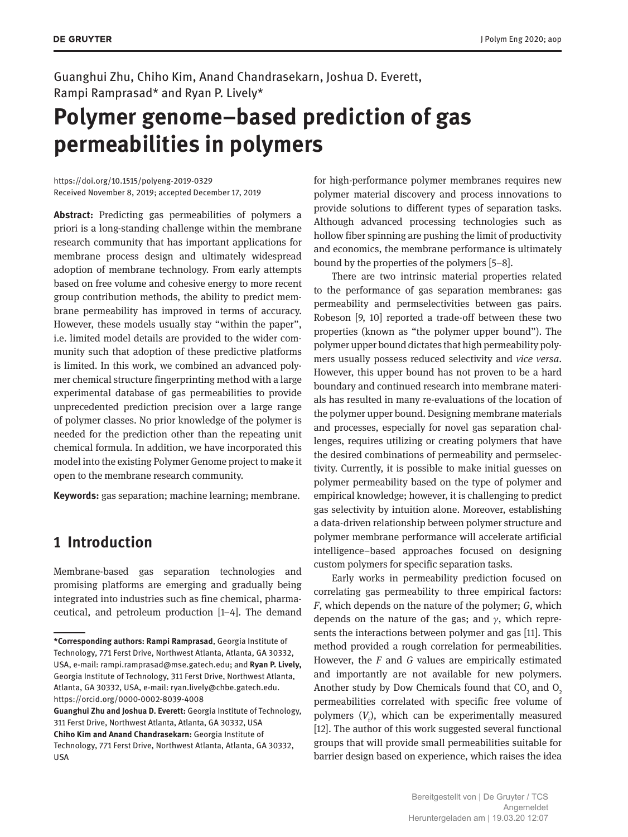Guanghui Zhu, Chiho Kim, Anand Chandrasekarn, Joshua D. Everett, Rampi Ramprasad\* and Ryan P. Lively\*

# **Polymer genome–based prediction of gas permeabilities in polymers**

<https://doi.org/10.1515/polyeng-2019-0329> Received November 8, 2019; accepted December 17, 2019

**Abstract:** Predicting gas permeabilities of polymers a priori is a long-standing challenge within the membrane research community that has important applications for membrane process design and ultimately widespread adoption of membrane technology. From early attempts based on free volume and cohesive energy to more recent group contribution methods, the ability to predict membrane permeability has improved in terms of accuracy. However, these models usually stay "within the paper", i.e. limited model details are provided to the wider community such that adoption of these predictive platforms is limited. In this work, we combined an advanced polymer chemical structure fingerprinting method with a large experimental database of gas permeabilities to provide unprecedented prediction precision over a large range of polymer classes. No prior knowledge of the polymer is needed for the prediction other than the repeating unit chemical formula. In addition, we have incorporated this model into the existing Polymer Genome project to make it open to the membrane research community.

**Keywords:** gas separation; machine learning; membrane.

# **1 Introduction**

Membrane-based gas separation technologies and promising platforms are emerging and gradually being integrated into industries such as fine chemical, pharmaceutical, and petroleum production [1–4]. The demand for high-performance polymer membranes requires new polymer material discovery and process innovations to provide solutions to different types of separation tasks. Although advanced processing technologies such as hollow fiber spinning are pushing the limit of productivity and economics, the membrane performance is ultimately bound by the properties of the polymers [5–8].

There are two intrinsic material properties related to the performance of gas separation membranes: gas permeability and permselectivities between gas pairs. Robeson [9, 10] reported a trade-off between these two properties (known as "the polymer upper bound"). The polymer upper bound dictates that high permeability polymers usually possess reduced selectivity and *vice versa*. However, this upper bound has not proven to be a hard boundary and continued research into membrane materials has resulted in many re-evaluations of the location of the polymer upper bound. Designing membrane materials and processes, especially for novel gas separation challenges, requires utilizing or creating polymers that have the desired combinations of permeability and permselectivity. Currently, it is possible to make initial guesses on polymer permeability based on the type of polymer and empirical knowledge; however, it is challenging to predict gas selectivity by intuition alone. Moreover, establishing a data-driven relationship between polymer structure and polymer membrane performance will accelerate artificial intelligence–based approaches focused on designing custom polymers for specific separation tasks.

Early works in permeability prediction focused on correlating gas permeability to three empirical factors: *F*, which depends on the nature of the polymer; *G*, which depends on the nature of the gas; and  $\gamma$ , which represents the interactions between polymer and gas [11]. This method provided a rough correlation for permeabilities. However, the *F* and *G* values are empirically estimated and importantly are not available for new polymers. Another study by Dow Chemicals found that  $\mathrm{CO}_2^{\phantom{\dag}}$  and  $\mathrm{O}_2^{\phantom{\dag}}$ permeabilities correlated with specific free volume of polymers  $(V_f)$ , which can be experimentally measured [12]. The author of this work suggested several functional groups that will provide small permeabilities suitable for barrier design based on experience, which raises the idea

**<sup>\*</sup>Corresponding authors: Rampi Ramprasad**, Georgia Institute of Technology, 771 Ferst Drive, Northwest Atlanta, Atlanta, GA 30332, USA, e-mail: [rampi.ramprasad@mse.gatech.edu;](mailto:rampi.ramprasad@mse.gatech.edu) and **Ryan P. Lively,** Georgia Institute of Technology, 311 Ferst Drive, Northwest Atlanta, Atlanta, GA 30332, USA, e-mail: [ryan.lively@chbe.gatech.edu](mailto:ryan.lively@chbe.gatech.edu). <https://orcid.org/0000-0002-8039-4008>

**Guanghui Zhu and Joshua D. Everett:** Georgia Institute of Technology, 311 Ferst Drive, Northwest Atlanta, Atlanta, GA 30332, USA **Chiho Kim and Anand Chandrasekarn:** Georgia Institute of Technology, 771 Ferst Drive, Northwest Atlanta, Atlanta, GA 30332, USA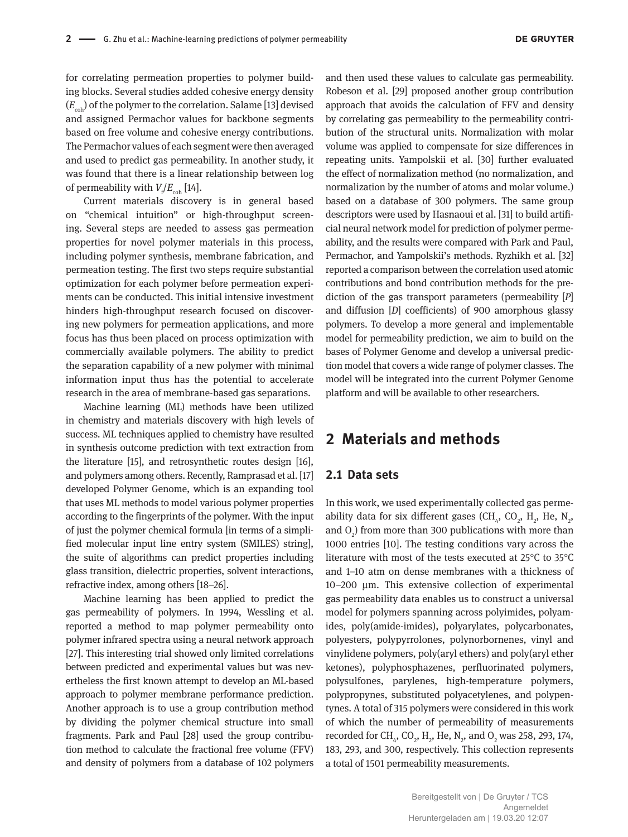for correlating permeation properties to polymer building blocks. Several studies added cohesive energy density ( $E<sub>coh</sub>$ ) of the polymer to the correlation. Salame [13] devised and assigned Permachor values for backbone segments based on free volume and cohesive energy contributions. The Permachor values of each segment were then averaged and used to predict gas permeability. In another study, it was found that there is a linear relationship between log of permeability with  $V_{\rm f}/E_{\rm coh}$  [14].

Current materials discovery is in general based on "chemical intuition" or high-throughput screening. Several steps are needed to assess gas permeation properties for novel polymer materials in this process, including polymer synthesis, membrane fabrication, and permeation testing. The first two steps require substantial optimization for each polymer before permeation experiments can be conducted. This initial intensive investment hinders high-throughput research focused on discovering new polymers for permeation applications, and more focus has thus been placed on process optimization with commercially available polymers. The ability to predict the separation capability of a new polymer with minimal information input thus has the potential to accelerate research in the area of membrane-based gas separations.

Machine learning (ML) methods have been utilized in chemistry and materials discovery with high levels of success. ML techniques applied to chemistry have resulted in synthesis outcome prediction with text extraction from the literature [15], and retrosynthetic routes design [16], and polymers among others. Recently, Ramprasad et al. [17] developed Polymer Genome, which is an expanding tool that uses ML methods to model various polymer properties according to the fingerprints of the polymer. With the input of just the polymer chemical formula [in terms of a simplified molecular input line entry system (SMILES) string], the suite of algorithms can predict properties including glass transition, dielectric properties, solvent interactions, refractive index, among others [18–26].

Machine learning has been applied to predict the gas permeability of polymers. In 1994, Wessling et al. reported a method to map polymer permeability onto polymer infrared spectra using a neural network approach [27]. This interesting trial showed only limited correlations between predicted and experimental values but was nevertheless the first known attempt to develop an ML-based approach to polymer membrane performance prediction. Another approach is to use a group contribution method by dividing the polymer chemical structure into small fragments. Park and Paul [28] used the group contribution method to calculate the fractional free volume (FFV) and density of polymers from a database of 102 polymers

and then used these values to calculate gas permeability. Robeson et al. [29] proposed another group contribution approach that avoids the calculation of FFV and density by correlating gas permeability to the permeability contribution of the structural units. Normalization with molar volume was applied to compensate for size differences in repeating units. Yampolskii et al. [30] further evaluated the effect of normalization method (no normalization, and normalization by the number of atoms and molar volume.) based on a database of 300 polymers. The same group descriptors were used by Hasnaoui et al. [31] to build artificial neural network model for prediction of polymer permeability, and the results were compared with Park and Paul, Permachor, and Yampolskii's methods. Ryzhikh et al. [32] reported a comparison between the correlation used atomic contributions and bond contribution methods for the prediction of the gas transport parameters (permeability [*P*] and diffusion [*D*] coefficients) of 900 amorphous glassy polymers. To develop a more general and implementable model for permeability prediction, we aim to build on the bases of Polymer Genome and develop a universal prediction model that covers a wide range of polymer classes. The model will be integrated into the current Polymer Genome platform and will be available to other researchers.

### **2 Materials and methods**

#### **2.1 Data sets**

In this work, we used experimentally collected gas permeability data for six different gases (CH<sub>4</sub>, CO<sub>2</sub>, H<sub>2</sub>, He, N<sub>2</sub>, and  $O_2$ ) from more than 300 publications with more than 1000 entries [10]. The testing conditions vary across the literature with most of the tests executed at 25°C to 35°C and 1–10 atm on dense membranes with a thickness of 10–200 μm. This extensive collection of experimental gas permeability data enables us to construct a universal model for polymers spanning across polyimides, polyamides, poly(amide-imides), polyarylates, polycarbonates, polyesters, polypyrrolones, polynorbornenes, vinyl and vinylidene polymers, poly(aryl ethers) and poly(aryl ether ketones), polyphosphazenes, perfluorinated polymers, polysulfones, parylenes, high-temperature polymers, polypropynes, substituted polyacetylenes, and polypentynes. A total of 315 polymers were considered in this work of which the number of permeability of measurements recorded for CH<sub>4</sub>, CO<sub>2</sub>, H<sub>2</sub>, He, N<sub>2</sub>, and O<sub>2</sub> was 258, 293, 174, 183, 293, and 300, respectively. This collection represents a total of 1501 permeability measurements.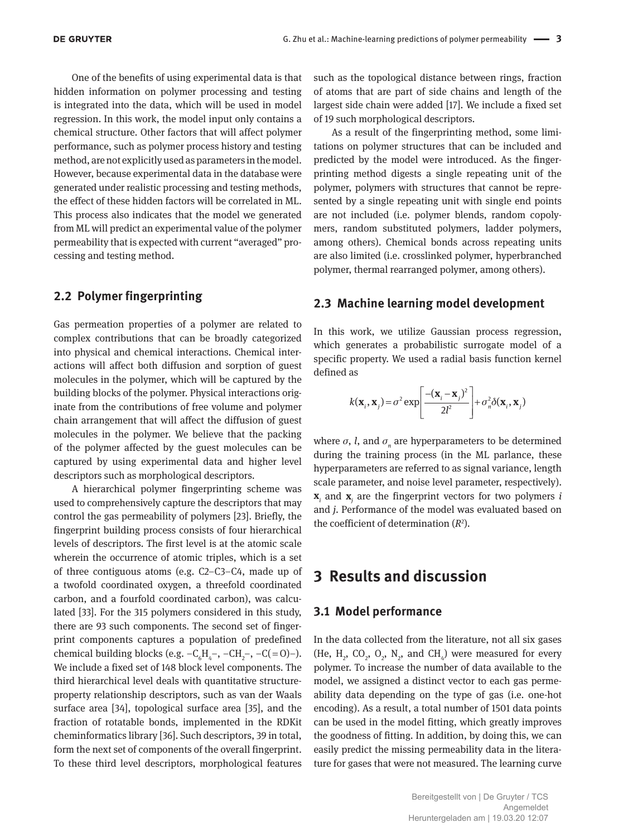One of the benefits of using experimental data is that hidden information on polymer processing and testing is integrated into the data, which will be used in model regression. In this work, the model input only contains a chemical structure. Other factors that will affect polymer performance, such as polymer process history and testing method, are not explicitly used as parameters in the model. However, because experimental data in the database were generated under realistic processing and testing methods, the effect of these hidden factors will be correlated in ML. This process also indicates that the model we generated from ML will predict an experimental value of the polymer permeability that is expected with current "averaged" processing and testing method.

### **2.2 Polymer fingerprinting**

Gas permeation properties of a polymer are related to complex contributions that can be broadly categorized into physical and chemical interactions. Chemical interactions will affect both diffusion and sorption of guest molecules in the polymer, which will be captured by the building blocks of the polymer. Physical interactions originate from the contributions of free volume and polymer chain arrangement that will affect the diffusion of guest molecules in the polymer. We believe that the packing of the polymer affected by the guest molecules can be captured by using experimental data and higher level descriptors such as morphological descriptors.

A hierarchical polymer fingerprinting scheme was used to comprehensively capture the descriptors that may control the gas permeability of polymers [23]. Briefly, the fingerprint building process consists of four hierarchical levels of descriptors. The first level is at the atomic scale wherein the occurrence of atomic triples, which is a set of three contiguous atoms (e.g. C2–C3–C4, made up of a twofold coordinated oxygen, a threefold coordinated carbon, and a fourfold coordinated carbon), was calculated [33]. For the 315 polymers considered in this study, there are 93 such components. The second set of fingerprint components captures a population of predefined chemical building blocks (e.g.  $-C_6H_4^-$ ,  $-CH_2^-$ ,  $-C(=O)$ -). We include a fixed set of 148 block level components. The third hierarchical level deals with quantitative structureproperty relationship descriptors, such as van der Waals surface area [34], topological surface area [35], and the fraction of rotatable bonds, implemented in the RDKit cheminformatics library [36]. Such descriptors, 39 in total, form the next set of components of the overall fingerprint. To these third level descriptors, morphological features

such as the topological distance between rings, fraction of atoms that are part of side chains and length of the largest side chain were added [17]. We include a fixed set of 19 such morphological descriptors.

As a result of the fingerprinting method, some limitations on polymer structures that can be included and predicted by the model were introduced. As the fingerprinting method digests a single repeating unit of the polymer, polymers with structures that cannot be represented by a single repeating unit with single end points are not included (i.e. polymer blends, random copolymers, random substituted polymers, ladder polymers, among others). Chemical bonds across repeating units are also limited (i.e. crosslinked polymer, hyperbranched polymer, thermal rearranged polymer, among others).

#### **2.3 Machine learning model development**

In this work, we utilize Gaussian process regression, which generates a probabilistic surrogate model of a specific property. We used a radial basis function kernel defined as

$$
k(\mathbf{x}_i, \mathbf{x}_j) = \sigma^2 \exp \left[ \frac{-(\mathbf{x}_i - \mathbf{x}_j)^2}{2l^2} \right] + \sigma_n^2 \delta(\mathbf{x}_i, \mathbf{x}_j)
$$

where  $\sigma$ , *l*, and  $\sigma$ <sub>n</sub> are hyperparameters to be determined during the training process (in the ML parlance, these hyperparameters are referred to as signal variance, length scale parameter, and noise level parameter, respectively). **x***i* and **x***<sup>j</sup>* are the fingerprint vectors for two polymers *i* and *j*. Performance of the model was evaluated based on the coefficient of determination  $(R^2)$ .

## **3 Results and discussion**

#### **3.1 Model performance**

In the data collected from the literature, not all six gases (He,  $H_2$ , CO<sub>2</sub>, O<sub>2</sub>, N<sub>2</sub>, and CH<sub>4</sub>) were measured for every polymer. To increase the number of data available to the model, we assigned a distinct vector to each gas permeability data depending on the type of gas (i.e. one-hot encoding). As a result, a total number of 1501 data points can be used in the model fitting, which greatly improves the goodness of fitting. In addition, by doing this, we can easily predict the missing permeability data in the literature for gases that were not measured. The learning curve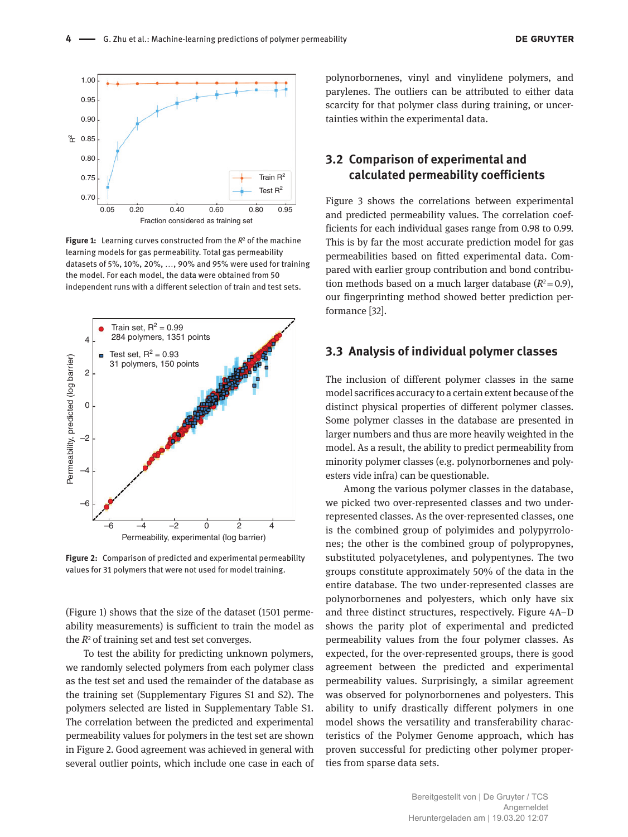

**Figure 1:** Learning curves constructed from the *R*<sup>2</sup> of the machine learning models for gas permeability. Total gas permeability datasets of 5%, 10%, 20%, …, 90% and 95% were used for training the model. For each model, the data were obtained from 50 independent runs with a different selection of train and test sets.



**Figure 2:** Comparison of predicted and experimental permeability values for 31 polymers that were not used for model training.

(Figure 1) shows that the size of the dataset (1501 permeability measurements) is sufficient to train the model as the *R*<sup>2</sup> of training set and test set converges.

To test the ability for predicting unknown polymers, we randomly selected polymers from each polymer class as the test set and used the remainder of the database as the training set (Supplementary Figures S1 and S2). The polymers selected are listed in Supplementary Table S1. The correlation between the predicted and experimental permeability values for polymers in the test set are shown in Figure 2. Good agreement was achieved in general with several outlier points, which include one case in each of

polynorbornenes, vinyl and vinylidene polymers, and parylenes. The outliers can be attributed to either data scarcity for that polymer class during training, or uncertainties within the experimental data.

### **3.2 Comparison of experimental and calculated permeability coefficients**

Figure 3 shows the correlations between experimental and predicted permeability values. The correlation coefficients for each individual gases range from 0.98 to 0.99. This is by far the most accurate prediction model for gas permeabilities based on fitted experimental data. Compared with earlier group contribution and bond contribution methods based on a much larger database  $(R^2=0.9)$ , our fingerprinting method showed better prediction performance [32].

#### **3.3 Analysis of individual polymer classes**

The inclusion of different polymer classes in the same model sacrifices accuracy to a certain extent because of the distinct physical properties of different polymer classes. Some polymer classes in the database are presented in larger numbers and thus are more heavily weighted in the model. As a result, the ability to predict permeability from minority polymer classes (e.g. polynorbornenes and polyesters vide infra) can be questionable.

Among the various polymer classes in the database, we picked two over-represented classes and two underrepresented classes. As the over-represented classes, one is the combined group of polyimides and polypyrrolones; the other is the combined group of polypropynes, substituted polyacetylenes, and polypentynes. The two groups constitute approximately 50% of the data in the entire database. The two under-represented classes are polynorbornenes and polyesters, which only have six and three distinct structures, respectively. Figure 4A–D shows the parity plot of experimental and predicted permeability values from the four polymer classes. As expected, for the over-represented groups, there is good agreement between the predicted and experimental permeability values. Surprisingly, a similar agreement was observed for polynorbornenes and polyesters. This ability to unify drastically different polymers in one model shows the versatility and transferability characteristics of the Polymer Genome approach, which has proven successful for predicting other polymer properties from sparse data sets.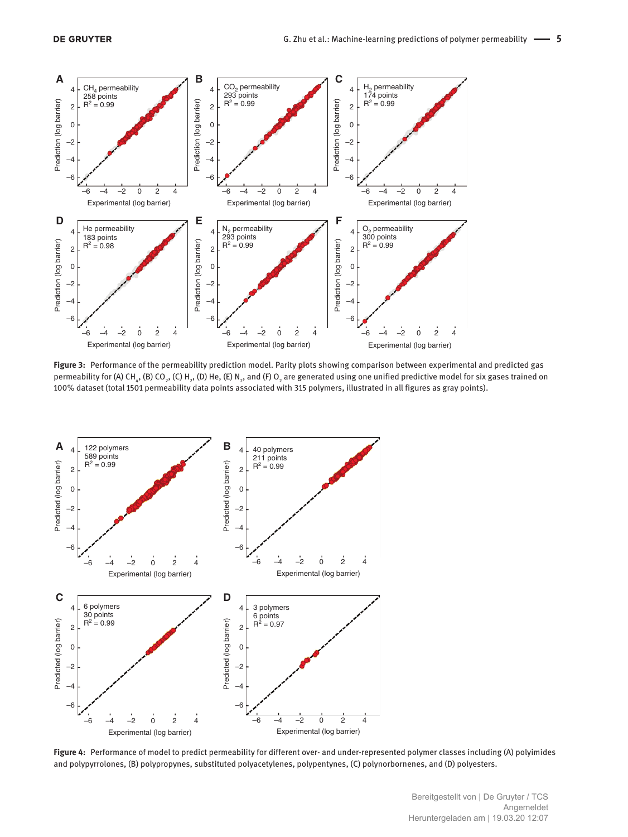

**Figure 3:** Performance of the permeability prediction model. Parity plots showing comparison between experimental and predicted gas permeability for (A) CH<sub>4</sub>, (B) CO<sub>2</sub>, (C) H<sub>2</sub>, (D) He, (E) N<sub>2</sub>, and (F) O<sub>2</sub> are generated using one unified predictive model for six gases trained on 100% dataset (total 1501 permeability data points associated with 315 polymers, illustrated in all figures as gray points).



**Figure 4:** Performance of model to predict permeability for different over- and under-represented polymer classes including (A) polyimides and polypyrrolones, (B) polypropynes, substituted polyacetylenes, polypentynes, (C) polynorbornenes, and (D) polyesters.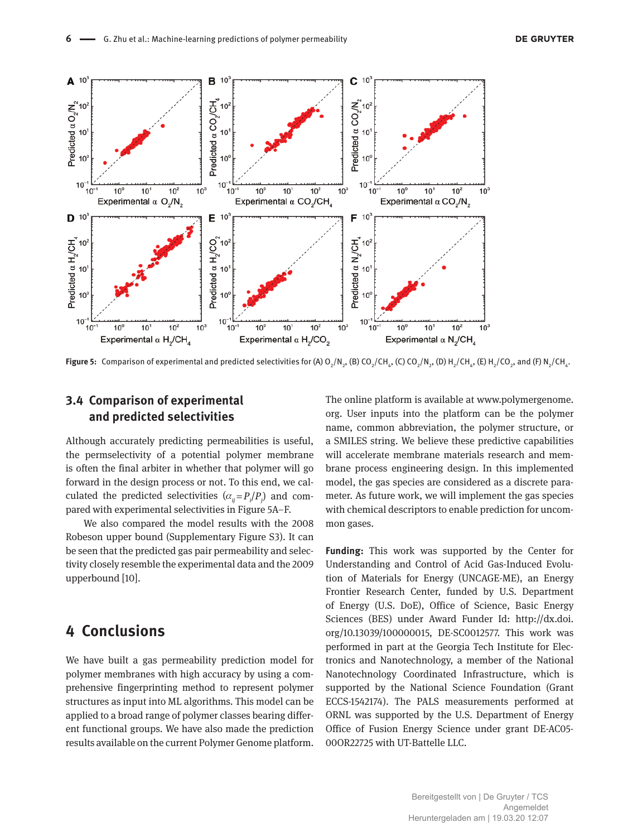

**Figure 5:** Comparison of experimental and predicted selectivities for (A) O<sub>2</sub>/N<sub>2</sub>, (B) CO<sub>2</sub>/CH<sub>4</sub>, (C) CO<sub>2</sub>/N<sub>2</sub>, (O) H<sub>2</sub>/CH<sub>4</sub>, (E) H<sub>2</sub>/CO<sub>2</sub>, and (F) N<sub>2</sub>/CH<sub>4</sub>.

### **3.4 Comparison of experimental and predicted selectivities**

Although accurately predicting permeabilities is useful, the permselectivity of a potential polymer membrane is often the final arbiter in whether that polymer will go forward in the design process or not. To this end, we calculated the predicted selectivities  $(\alpha_{ij} = P_i/P_j)$  and compared with experimental selectivities in Figure 5A–F.

We also compared the model results with the 2008 Robeson upper bound (Supplementary Figure S3). It can be seen that the predicted gas pair permeability and selectivity closely resemble the experimental data and the 2009 upperbound [10].

# **4 Conclusions**

We have built a gas permeability prediction model for polymer membranes with high accuracy by using a comprehensive fingerprinting method to represent polymer structures as input into ML algorithms. This model can be applied to a broad range of polymer classes bearing different functional groups. We have also made the prediction results available on the current Polymer Genome platform. The online platform is available at [www.polymergenome.](www.polymergenome.org) [org](www.polymergenome.org). User inputs into the platform can be the polymer name, common abbreviation, the polymer structure, or a SMILES string. We believe these predictive capabilities will accelerate membrane materials research and membrane process engineering design. In this implemented model, the gas species are considered as a discrete parameter. As future work, we will implement the gas species with chemical descriptors to enable prediction for uncommon gases.

**Funding:** This work was supported by the Center for Understanding and Control of Acid Gas-Induced Evolution of Materials for Energy (UNCAGE-ME), an Energy Frontier Research Center, funded by U.S. Department of Energy (U.S. DoE), Office of Science, Basic Energy Sciences (BES) under Award Funder Id: [http://dx.doi.](http://dx.doi.org/10.13039/100000015) [org/10.13039/100000015](http://dx.doi.org/10.13039/100000015), DE-SC0012577. This work was performed in part at the Georgia Tech Institute for Electronics and Nanotechnology, a member of the National Nanotechnology Coordinated Infrastructure, which is supported by the National Science Foundation (Grant ECCS-1542174). The PALS measurements performed at ORNL was supported by the U.S. Department of Energy Office of Fusion Energy Science under grant DE-AC05- 00OR22725 with UT-Battelle LLC.